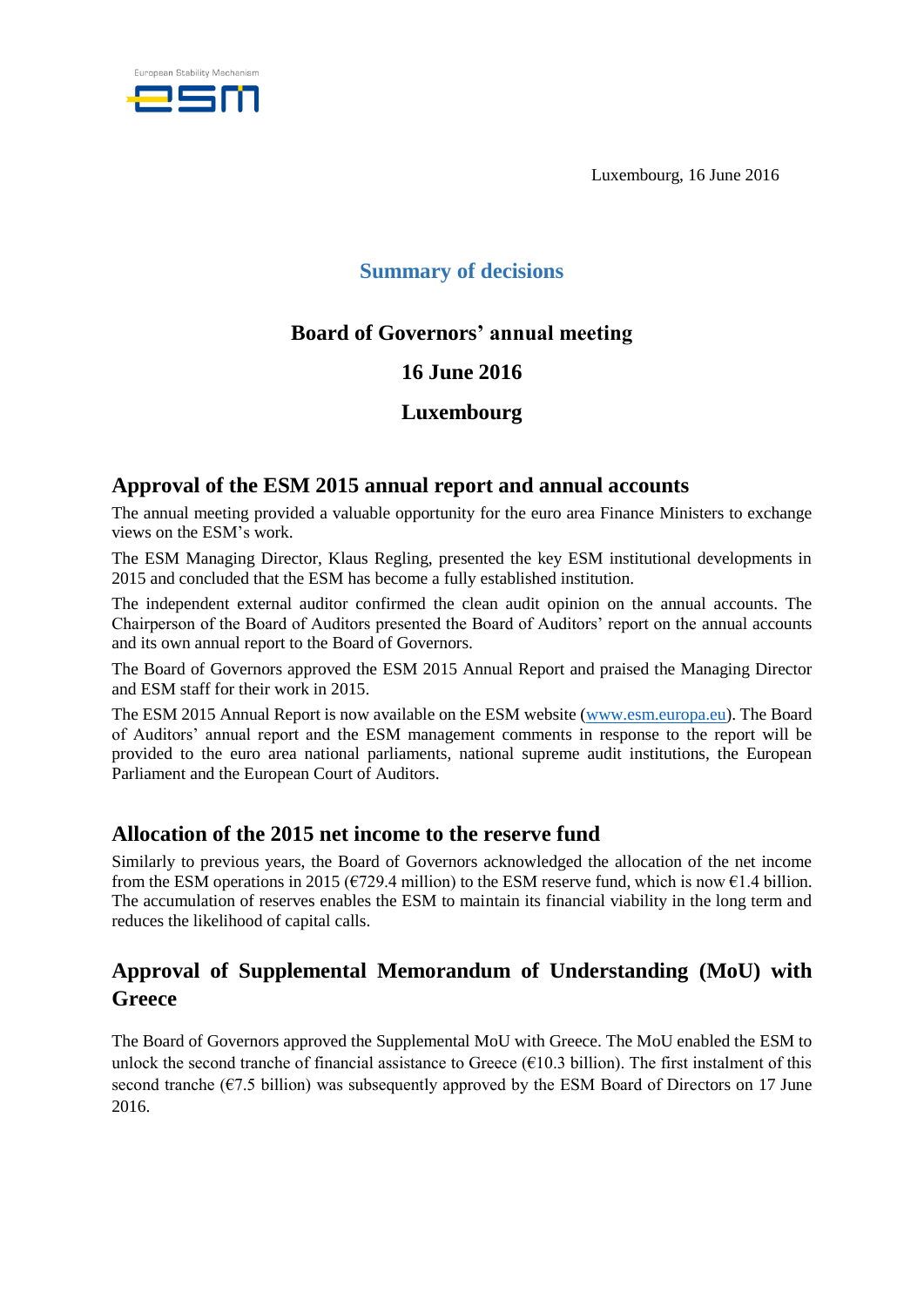

Luxembourg, 16 June 2016

# **Summary of decisions**

# **Board of Governors' annual meeting**

### **16 June 2016**

# **Luxembourg**

### **Approval of the ESM 2015 annual report and annual accounts**

The annual meeting provided a valuable opportunity for the euro area Finance Ministers to exchange views on the ESM's work.

The ESM Managing Director, Klaus Regling, presented the key ESM institutional developments in 2015 and concluded that the ESM has become a fully established institution.

The independent external auditor confirmed the clean audit opinion on the annual accounts. The Chairperson of the Board of Auditors presented the Board of Auditors' report on the annual accounts and its own annual report to the Board of Governors.

The Board of Governors approved the ESM 2015 Annual Report and praised the Managing Director and ESM staff for their work in 2015.

The ESM 2015 Annual Report is now available on the ESM website [\(www.esm.europa.eu\)](http://www.esm.europa.eu/). The Board of Auditors' annual report and the ESM management comments in response to the report will be provided to the euro area national parliaments, national supreme audit institutions, the European Parliament and the European Court of Auditors.

### **Allocation of the 2015 net income to the reserve fund**

Similarly to previous years, the Board of Governors acknowledged the allocation of the net income from the ESM operations in 2015 ( $\epsilon$ 729.4 million) to the ESM reserve fund, which is now  $\epsilon$ 1.4 billion. The accumulation of reserves enables the ESM to maintain its financial viability in the long term and reduces the likelihood of capital calls.

# **Approval of Supplemental Memorandum of Understanding (MoU) with Greece**

The Board of Governors approved the Supplemental MoU with Greece. The MoU enabled the ESM to unlock the second tranche of financial assistance to Greece  $(\epsilon 10.3 \text{ billion})$ . The first instalment of this second tranche ( $\epsilon$ 7.5 billion) was subsequently approved by the ESM Board of Directors on 17 June 2016.